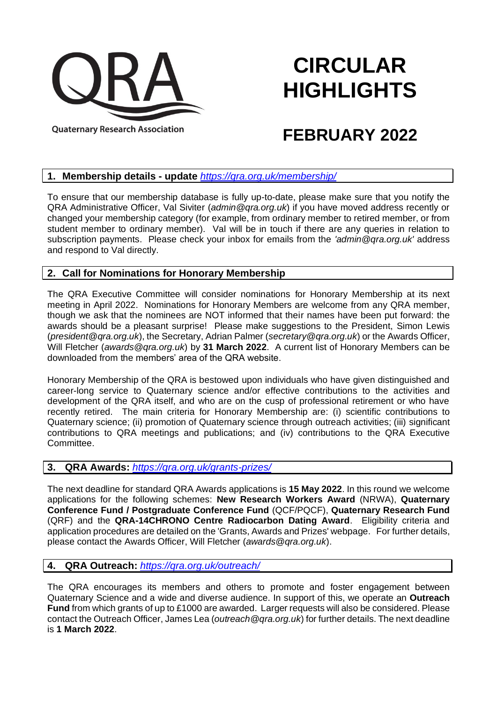

# **CIRCULAR HIGHLIGHTS**

# **FEBRUARY 2022**

#### **1. Membership details - update** *<https://qra.org.uk/membership/>*

To ensure that our membership database is fully up-to-date, please make sure that you notify the QRA Administrative Officer, Val Siviter (*admin@qra.org.uk*) if you have moved address recently or changed your membership category (for example, from ordinary member to retired member, or from student member to ordinary member). Val will be in touch if there are any queries in relation to subscription payments. Please check your inbox for emails from the *'admin@qra.org.uk'* address and respond to Val directly.

# **2. Call for Nominations for Honorary Membership**

The QRA Executive Committee will consider nominations for Honorary Membership at its next meeting in April 2022. Nominations for Honorary Members are welcome from any QRA member, though we ask that the nominees are NOT informed that their names have been put forward: the awards should be a pleasant surprise! Please make suggestions to the President, Simon Lewis (*president@qra.org.uk*), the Secretary, Adrian Palmer (*secretary@qra.org.uk*) or the Awards Officer, Will Fletcher (*awards@qra.org.uk*) by **31 March 2022**. A current list of Honorary Members can be downloaded from the members' area of the QRA website.

Honorary Membership of the QRA is bestowed upon individuals who have given distinguished and career-long service to Quaternary science and/or effective contributions to the activities and development of the QRA itself, and who are on the cusp of professional retirement or who have recently retired. The main criteria for Honorary Membership are: (i) scientific contributions to Quaternary science; (ii) promotion of Quaternary science through outreach activities; (iii) significant contributions to QRA meetings and publications; and (iv) contributions to the QRA Executive Committee.

# **3. QRA Awards:** *<https://qra.org.uk/grants-prizes/>*

The next deadline for standard QRA Awards applications is **15 May 2022**. In this round we welcome applications for the following schemes: **New Research Workers Award** (NRWA), **Quaternary Conference Fund / Postgraduate Conference Fund** (QCF/PQCF), **Quaternary Research Fund** (QRF) and the **QRA-14CHRONO Centre Radiocarbon Dating Award**. Eligibility criteria and application procedures are detailed on the 'Grants, Awards and Prizes' webpage. For further details, please contact the Awards Officer, Will Fletcher (*awards@qra.org.uk*).

# **4. QRA Outreach:** *<https://qra.org.uk/outreach/>*

The QRA encourages its members and others to promote and foster engagement between Quaternary Science and a wide and diverse audience. In support of this, we operate an **Outreach Fund** from which grants of up to £1000 are awarded. Larger requests will also be considered. Please contact the Outreach Officer, James Lea (*outreach@qra.org.uk*) for further details. The next deadline is **1 March 2022**.